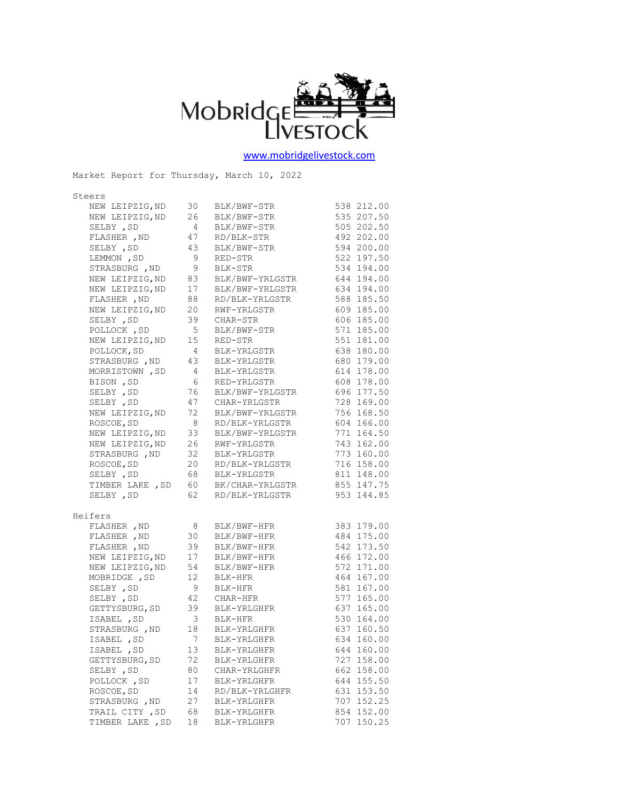

[www.mobridgelivestock.com](http://www.mobridgelivestock.com/)

| Market Report for Thursday, March 10, 2022 |                         |                                            |            |
|--------------------------------------------|-------------------------|--------------------------------------------|------------|
| Steers                                     |                         |                                            |            |
| NEW LEIPZIG, ND                            | 30                      | BLK/BWF-STR                                | 538 212.00 |
| NEW LEIPZIG, ND                            | 26                      | BLK/BWF-STR                                | 535 207.50 |
| SELBY , SD                                 | $\overline{4}$          | BLK/BWF-STR                                | 505 202.50 |
| FLASHER , ND                               | 47                      | RD/BLK-STR                                 | 492 202.00 |
| SELBY , SD                                 | 43                      | BLK/BWF-STR                                | 594 200.00 |
| LEMMON, SD                                 | 9                       | RED-STR                                    | 522 197.50 |
| STRASBURG , ND                             | 9                       | BLK-STR                                    | 534 194.00 |
| NEW LEIPZIG, ND                            | 83                      | BLK/BWF-YRLGSTR                            | 644 194.00 |
| NEW LEIPZIG, ND                            | $\frac{1}{1}$           | BLK/BWF-YRLGSTR                            | 634 194.00 |
| FLASHER , ND                               | 88                      | RD/BLK-YRLGSTR                             | 588 185.50 |
| NEW LEIPZIG, ND                            | 20                      | RWF-YRLGSTR                                | 609 185.00 |
| SELBY , SD                                 | 39                      | CHAR-STR                                   | 606 185.00 |
| POLLOCK, SD                                | 5                       | BLK/BWF-STR                                | 571 185.00 |
| NEW LEIPZIG, ND                            | 15                      | RED-STR                                    | 551 181.00 |
| POLLOCK, SD                                | $\overline{4}$          | BLK-YRLGSTR                                | 638 180.00 |
| STRASBURG, ND                              | 43                      | BLK-YRLGSTR                                | 680 179.00 |
| MORRISTOWN , SD                            | $\overline{4}$          | BLK-YRLGSTR                                | 614 178.00 |
| BISON , SD                                 | - 6                     | RED-YRLGSTR                                | 608 178.00 |
| SELBY , SD                                 | 76                      | BLK/BWF-YRLGSTR                            | 696 177.50 |
| SELBY , SD                                 | 47                      | CHAR-YRLGSTR                               | 728 169.00 |
| NEW LEIPZIG, ND                            | 72                      | BLK/BWF-YRLGSTR                            | 756 168.50 |
| ROSCOE, SD                                 | - 8                     | RD/BLK-YRLGSTR                             | 604 166.00 |
| NEW LEIPZIG, ND                            | 33                      | BLK/BWF-YRLGSTR                            | 771 164.50 |
| NEW LEIPZIG, ND                            | 26                      | RWF-YRLGSTR                                | 743 162.00 |
| STRASBURG , ND                             | 32                      | BLK-YRLGSTR                                | 773 160.00 |
| ROSCOE, SD                                 | 20                      | RD/BLK-YRLGSTR                             | 716 158.00 |
| SELBY , SD                                 | 68                      | BLK-YRLGSTR                                | 811 148.00 |
| TIMBER LAKE , SD                           | 60                      | BK/CHAR-YRLGSTR                            | 855 147.75 |
| SELBY, SD                                  | 62                      | RD/BLK-YRLGSTR                             | 953 144.85 |
| Heifers                                    |                         |                                            |            |
| FLASHER , ND                               | 8                       | BLK/BWF-HFR                                | 383 179.00 |
| FLASHER , ND                               | 30                      | BLK/BWF-HFR                                | 484 175.00 |
| FLASHER , ND                               | 39                      | BLK/BWF-HFR                                | 542 173.50 |
| NEW LEIPZIG, ND                            | 17                      | BLK/BWF-HFR                                | 466 172.00 |
| NEW LEIPZIG, ND                            | 54                      | BLK/BWF-HFR                                | 572 171.00 |
| MOBRIDGE , SD                              | 12                      | BLK-HFR                                    | 464 167.00 |
| SELBY , SD                                 | 9                       | BLK-HFR                                    | 581 167.00 |
| SELBY , SD                                 |                         |                                            | 577 165.00 |
| GETTYSBURG, SD                             |                         | 42 CHAR-HFR<br>39 BLK-YRLGH<br>BLK-YRLGHFR | 637 165.00 |
| ISABEL ,SD                                 | $\overline{\mathbf{3}}$ | BLK-HFR                                    | 530 164.00 |
| STRASBURG , ND                             | 18                      | BLK-YRLGHFR                                | 637 160.50 |
| ISABEL, SD                                 | 7                       | BLK-YRLGHFR                                | 634 160.00 |
| ISABEL, SD                                 | 13                      | BLK-YRLGHFR                                | 644 160.00 |
| GETTYSBURG, SD                             | 72                      | BLK-YRLGHFR                                | 727 158.00 |
| SELBY , SD                                 | 80                      | CHAR-YRLGHFR                               | 662 158.00 |
| POLLOCK, SD                                | 17                      | BLK-YRLGHFR                                | 644 155.50 |
| ROSCOE, SD                                 | 14                      | RD/BLK-YRLGHFR                             | 631 153.50 |
| STRASBURG, ND                              | 27                      | BLK-YRLGHFR                                | 707 152.25 |
| TRAIL CITY, SD                             | 68                      | BLK-YRLGHFR                                | 854 152.00 |
| TIMBER LAKE , SD                           | 18                      | BLK-YRLGHFR                                | 707 150.25 |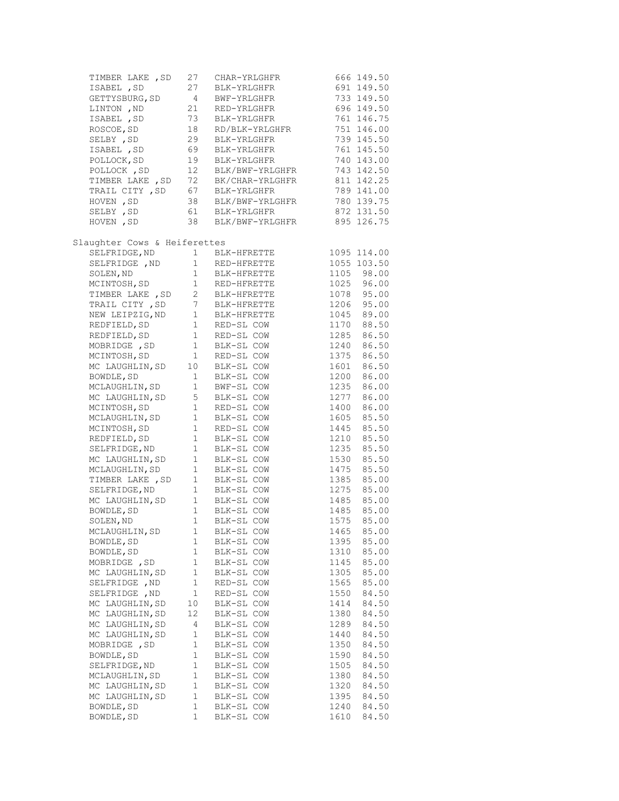| TIMBER LAKE , SD               | 27              | CHAR-YRLGHFR                      | 666 149.50          |
|--------------------------------|-----------------|-----------------------------------|---------------------|
| ISABEL , SD                    | 27              | BLK-YRLGHFR                       | 691 149.50          |
| GETTYSBURG, SD                 | $\overline{4}$  | BWF-YRLGHFR                       | 733 149.50          |
| LINTON , ND                    | 21              | RED-YRLGHFR                       | 696 149.50          |
| ISABEL , SD                    | 73              | BLK-YRLGHFR                       | 761 146.75          |
| ROSCOE, SD                     | 18              | RD/BLK-YRLGHFR                    | 751 146.00          |
| SELBY , SD                     | 29              | BLK-YRLGHFR                       | 739 145.50          |
| ISABEL , SD                    | 69              | BLK-YRLGHFR                       | 761 145.50          |
| POLLOCK, SD                    | 19              | BLK-YRLGHFR                       | 740 143.00          |
| POLLOCK, SD                    | 12              | BLK/BWF-YRLGHFR                   | 743 142.50          |
| TIMBER LAKE , SD               | 72              | BK/CHAR-YRLGHFR                   | 811 142.25          |
| TRAIL CITY , SD                | 67              | BLK-YRLGHFR                       | 789 141.00          |
| HOVEN, SD                      |                 | BLK/BWF-YRLGHFR                   | 780 139.75          |
| SELBY , SD                     |                 | 38 BLK/BWF-YRLG<br>61 BLK-YRLGHFR | 872 131.50          |
| HOVEN, SD                      | 38              | BLK/BWF-YRLGHFR                   | 895 126.75          |
|                                |                 |                                   |                     |
| Slaughter Cows & Heiferettes   |                 |                                   |                     |
| SELFRIDGE, ND                  | $1 \quad$       | BLK-HFRETTE                       | 1095 114.00         |
| SELFRIDGE , ND                 | $1 \quad$       | RED-HFRETTE                       | 1055 103.50         |
| SOLEN, ND                      |                 | 1 BLK-HFRETTE<br>1 RED-HFRETTE    | 1105 98.00          |
| MCINTOSH, SD                   |                 |                                   | 1025 96.00          |
| TIMBER LAKE , SD               | $2^{\circ}$     | BLK-HFRETTE                       | 1078 95.00          |
| TRAIL CITY, SD                 | $7\overline{ }$ | BLK-HFRETTE                       | 1206 95.00          |
| NEW LEIPZIG, ND                | $\mathbf{1}$    | BLK-HFRETTE                       | 1045 89.00          |
| REDFIELD, SD                   | $\mathbf{1}$    | RED-SL COW                        | 1170 88.50          |
| REDFIELD, SD                   | $1 -$           | RED-SL COW                        | 86.50<br>1285       |
| MOBRIDGE , SD                  | $\mathbf{1}$    | BLK-SL COW                        | 86.50<br>1240       |
| MCINTOSH, SD                   | $\mathbf{1}$    | RED-SL COW                        | 1375 86.50          |
| MC LAUGHLIN, SD                | 10              | BLK-SL COW                        | 86.50<br>1601       |
| BOWDLE, SD                     | 1               | BLK-SL COW                        | 1200 86.00          |
| MCLAUGHLIN, SD                 | $\mathbf{1}$    | BWF-SL COW                        | 1235<br>86.00       |
| MC LAUGHLIN, SD                | 5               | BLK-SL COW                        | 1277<br>86.00       |
|                                | $\mathbf{1}$    |                                   | 1400<br>86.00       |
| MCINTOSH, SD<br>MCLAUGHLIN, SD | $\mathbf{1}$    | RED-SL COW<br>BLK-SL COW          | 85.50<br>1605       |
|                                | $\mathbf{1}$    |                                   | 1445<br>85.50       |
| MCINTOSH, SD<br>REDFIELD, SD   | $\mathbf{1}$    | RED-SL COW                        | 1210<br>85.50       |
|                                | $\mathbf{1}$    | BLK-SL COW                        | 85.50               |
| SELFRIDGE, ND                  |                 | BLK-SL COW                        | 1235                |
| MC LAUGHLIN, SD                | $\mathbf{1}$    | BLK-SL COW                        | 1530 85.50<br>85.50 |
| MCLAUGHLIN, SD                 | 1               | BLK-SL COW                        | 1475                |
| TIMBER LAKE , SD               | $\mathbf{1}$    | BLK-SL COW                        | 1385<br>85.00       |
| SELFRIDGE, ND                  | $\mathbf{1}$    | BLK-SL COW                        | 1275 85.00          |
| MC LAUGHLIN, SD                | $\mathbf{1}$    | BLK-SL COW                        | 1485 85.00          |
| BOWDLE, SD                     | $\mathbf{1}$    | BLK-SL COW                        | 1485 85.00          |
| SOLEN, ND                      | $\mathbf 1$     | BLK-SL COW                        | 1575<br>85.00       |
| MCLAUGHLIN, SD                 | 1               | BLK-SL COW                        | 85.00<br>1465       |
| BOWDLE, SD                     | 1               | BLK-SL COW                        | 1395<br>85.00       |
| BOWDLE, SD                     | 1               | BLK-SL COW                        | 1310<br>85.00       |
| MOBRIDGE , SD                  | $\mathbf 1$     | BLK-SL COW                        | 85.00<br>1145       |
| MC LAUGHLIN, SD                | 1               | BLK-SL COW                        | 85.00<br>1305       |
| SELFRIDGE , ND                 | $1\,$           | RED-SL COW                        | 1565<br>85.00       |
| SELFRIDGE , ND                 | $\mathbf 1$     | RED-SL COW                        | 1550<br>84.50       |
| MC LAUGHLIN, SD                | 10              | BLK-SL COW                        | 1414<br>84.50       |
| MC LAUGHLIN, SD                | 12              | BLK-SL COW                        | 1380<br>84.50       |
| MC LAUGHLIN, SD                | 4               | BLK-SL COW                        | 84.50<br>1289       |
| MC LAUGHLIN, SD                | 1               | BLK-SL COW                        | 84.50<br>1440       |
| MOBRIDGE, SD                   | 1               | BLK-SL COW                        | 1350<br>84.50       |
| BOWDLE, SD                     | 1               | BLK-SL COW                        | 84.50<br>1590       |
| SELFRIDGE, ND                  | $\mathbf 1$     | BLK-SL COW                        | 84.50<br>1505       |
| MCLAUGHLIN, SD                 | 1               | BLK-SL COW                        | 84.50<br>1380       |
| MC LAUGHLIN, SD                | 1               | BLK-SL COW                        | 1320<br>84.50       |
| MC LAUGHLIN, SD                | 1               | BLK-SL COW                        | 1395<br>84.50       |
| BOWDLE, SD                     | 1               | BLK-SL COW                        | 1240<br>84.50       |
| BOWDLE, SD                     | 1               | BLK-SL COW                        | 84.50<br>1610       |